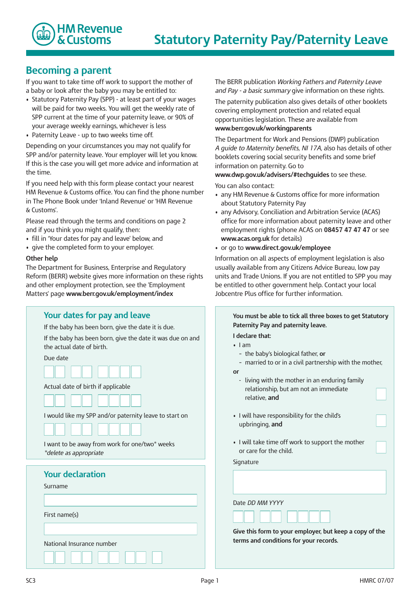

## **Becoming a parent**

If you want to take time off work to support the mother of a baby or look after the baby you may be entitled to:

- Statutory Paternity Pay (SPP) at least part of your wages will be paid for two weeks. You will get the weekly rate of SPP current at the time of your paternity leave, or 90% of your average weekly earnings, whichever is less
- Paternity Leave up to two weeks time off.

Depending on your circumstances you may not qualify for SPP and/or paternity leave. Your employer will let you know. If this is the case you will get more advice and information at the time.

If you need help with this form please contact your nearest HM Revenue & Customs office. You can find the phone number in The Phone Book under 'Inland Revenue' or 'HM Revenue & Customs'.

Please read through the terms and conditions on page 2 and if you think you might qualify, then:

- fill in 'Your dates for pay and leave' below, and
- give the completed form to your employer.

### **Other help**

The Department for Business, Enterprise and Regulatory Reform (BERR) website gives more information on these rights and other employment protection, see the 'Employment Matters' page **www.berr.gov.uk/employment/index** 

| Your dates for pay and leave                                                            |
|-----------------------------------------------------------------------------------------|
| If the baby has been born, give the date it is due.                                     |
| If the baby has been born, give the date it was due on and<br>the actual date of birth. |
| Due date                                                                                |
|                                                                                         |
| Actual date of birth if applicable                                                      |
|                                                                                         |
| I would like my SPP and/or paternity leave to start on                                  |
|                                                                                         |
| I want to be away from work for one/two* weeks<br>*delete as appropriate                |
| <b>Your declaration</b>                                                                 |
| Surname                                                                                 |
|                                                                                         |
|                                                                                         |
| First name(s)                                                                           |
|                                                                                         |
| National Insurance number                                                               |
|                                                                                         |

The BERR publication *Working Fathers and Paternity Leave and Pay - a basic summary* give information on these rights.

The paternity publication also gives details of other booklets covering employment protection and related equal opportunities legislation. These are available from **www.berr.gov.uk/workingparents** 

The Department for Work and Pensions (DWP) publication *A guide to Maternity benefits, NI 17A,* also has details of other booklets covering social security benefits and some brief information on paternity. Go to

**www.dwp.gov.uk/advisers/#techguides** to see these.

You can also contact:

- any HM Revenue & Customs office for more information about Statutory Paternity Pay
- any Advisory, Conciliation and Arbitration Service (ACAS) office for more information about paternity leave and other employment rights (phone ACAS on **08457 47 47 47** or see **www.acas.org.uk** for details)
- or go to **www.direct.gov.uk/employee**

Information on all aspects of employment legislation is also usually available from any Citizens Advice Bureau, low pay units and Trade Unions. If you are not entitled to SPP you may be entitled to other government help. Contact your local Jobcentre Plus office for further information.

|    | I declare that:                                                                                          |  |
|----|----------------------------------------------------------------------------------------------------------|--|
|    | $\cdot$ 1 am                                                                                             |  |
|    | - the baby's biological father, or                                                                       |  |
| or | - married to or in a civil partnership with the mother,                                                  |  |
|    | - living with the mother in an enduring family<br>relationship, but am not an immediate<br>relative, and |  |
|    | • I will have responsibility for the child's<br>upbringing, and                                          |  |
|    | . I will take time off work to support the mother<br>or care for the child.                              |  |
|    | Signature                                                                                                |  |
|    |                                                                                                          |  |
|    | Date DD MM YYYY                                                                                          |  |
|    |                                                                                                          |  |